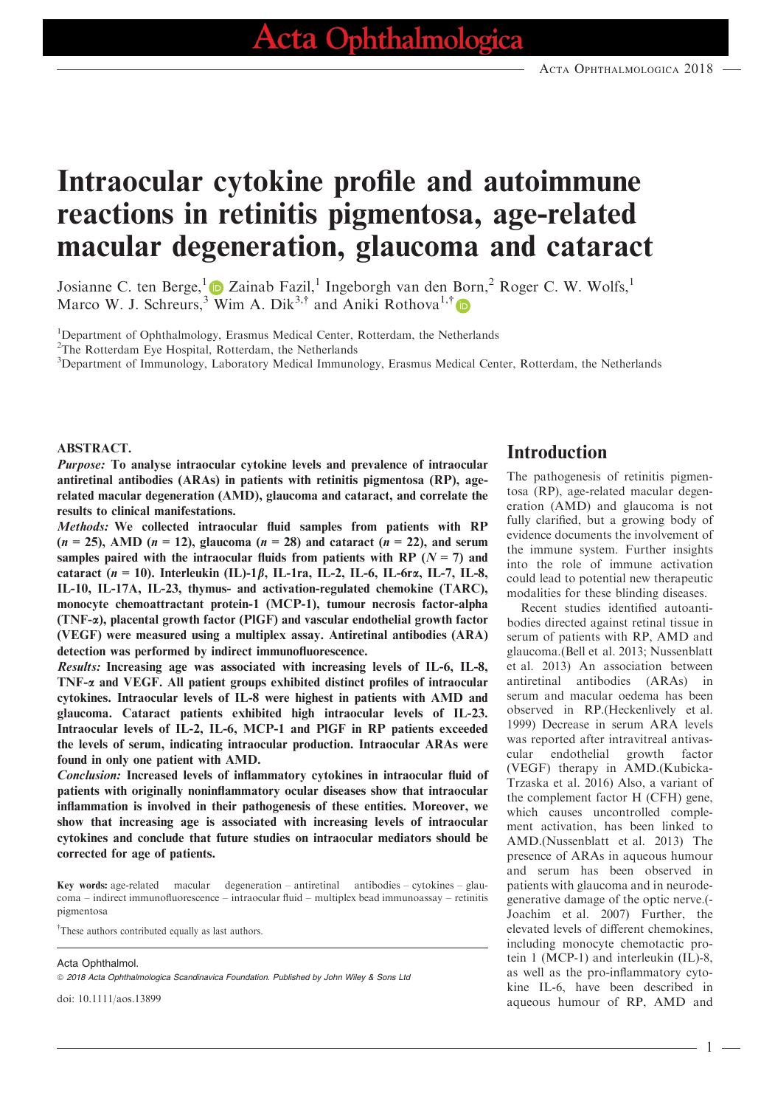# Intraocular cytokine profile and autoimmune reactions in retinitis pigmentosa, age-related macular degeneration, glaucoma and cataract

Josianne C. ten Berge,<sup>[1](http://orcid.org/0000-0003-4610-4991)</sup> D Zainab Fazil,<sup>1</sup> Ingeborgh van den Born,<sup>2</sup> Roger C. W. Wolfs,<sup>1</sup> Marco W. J. Schreurs,<sup>[3](http://orcid.org/0000-0003-4610-4991)</sup> Wim A. Dik<sup>3,[†](http://orcid.org/0000-0002-3324-5034)</sup> and Aniki Rothova<sup>1,†</sup>

<sup>1</sup>Department of Ophthalmology, Erasmus Medical Center, Rotterdam, the Netherlands

<sup>2</sup>The Rotterdam Eye Hospital, Rotterdam, the Netherlands

<sup>3</sup>Department of Immunology, Laboratory Medical Immunology, Erasmus Medical Center, Rotterdam, the Netherlands

#### ABSTRACT.

Purpose: To analyse intraocular cytokine levels and prevalence of intraocular antiretinal antibodies (ARAs) in patients with retinitis pigmentosa (RP), agerelated macular degeneration (AMD), glaucoma and cataract, and correlate the results to clinical manifestations.

Methods: We collected intraocular fluid samples from patients with RP  $(n = 25)$ , AMD  $(n = 12)$ , glaucoma  $(n = 28)$  and cataract  $(n = 22)$ , and serum samples paired with the intraocular fluids from patients with RP ( $N = 7$ ) and cataract ( $n = 10$ ). Interleukin (IL)-1 $\beta$ , IL-1ra, IL-2, IL-6, IL-6ra, IL-7, IL-8, IL-10, IL-17A, IL-23, thymus- and activation-regulated chemokine (TARC), monocyte chemoattractant protein-1 (MCP-1), tumour necrosis factor-alpha (TNF-a), placental growth factor (PlGF) and vascular endothelial growth factor (VEGF) were measured using a multiplex assay. Antiretinal antibodies (ARA) detection was performed by indirect immunofluorescence.

Results: Increasing age was associated with increasing levels of IL-6, IL-8, TNF- $\alpha$  and VEGF. All patient groups exhibited distinct profiles of intraocular cytokines. Intraocular levels of IL-8 were highest in patients with AMD and glaucoma. Cataract patients exhibited high intraocular levels of IL-23. Intraocular levels of IL-2, IL-6, MCP-1 and PlGF in RP patients exceeded the levels of serum, indicating intraocular production. Intraocular ARAs were found in only one patient with AMD.

Conclusion: Increased levels of inflammatory cytokines in intraocular fluid of patients with originally noninflammatory ocular diseases show that intraocular inflammation is involved in their pathogenesis of these entities. Moreover, we show that increasing age is associated with increasing levels of intraocular cytokines and conclude that future studies on intraocular mediators should be corrected for age of patients.

Key words: age-related macular degeneration – antiretinal antibodies – cytokines – glaucoma – indirect immunofluorescence – intraocular fluid – multiplex bead immunoassay – retinitis pigmentosa

† These authors contributed equally as last authors.

Acta Ophthalmol.

ª 2018 Acta Ophthalmologica Scandinavica Foundation. Published by John Wiley & Sons Ltd

doi: 10.1111/aos.13899

## Introduction

The pathogenesis of retinitis pigmentosa (RP), age-related macular degeneration (AMD) and glaucoma is not fully clarified, but a growing body of evidence documents the involvement of the immune system. Further insights into the role of immune activation could lead to potential new therapeutic modalities for these blinding diseases.

Recent studies identified autoantibodies directed against retinal tissue in serum of patients with RP, AMD and glaucoma.(Bell et al. 2013; Nussenblatt et al. 2013) An association between antiretinal antibodies (ARAs) in serum and macular oedema has been observed in RP.(Heckenlively et al. 1999) Decrease in serum ARA levels was reported after intravitreal antivascular endothelial growth factor (VEGF) therapy in AMD.(Kubicka-Trzaska et al. 2016) Also, a variant of the complement factor H (CFH) gene, which causes uncontrolled complement activation, has been linked to AMD.(Nussenblatt et al. 2013) The presence of ARAs in aqueous humour and serum has been observed in patients with glaucoma and in neurodegenerative damage of the optic nerve.(- Joachim et al. 2007) Further, the elevated levels of different chemokines, including monocyte chemotactic protein 1 (MCP-1) and interleukin (IL)-8, as well as the pro-inflammatory cytokine IL-6, have been described in aqueous humour of RP, AMD and

1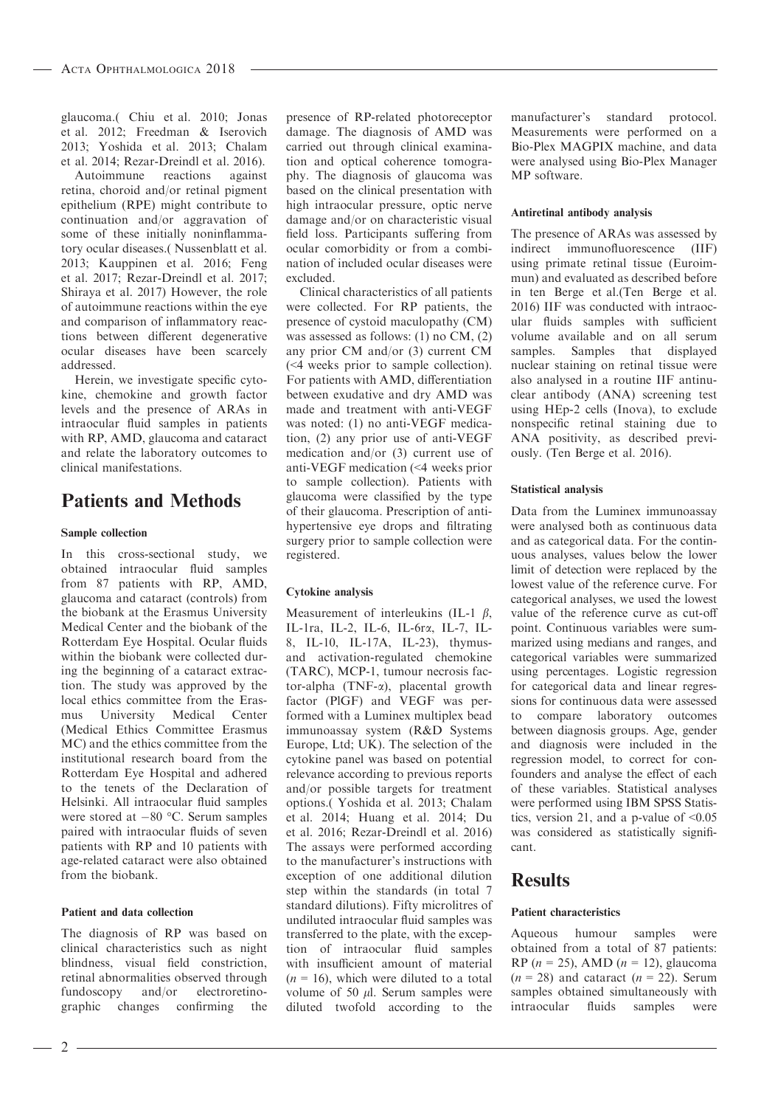glaucoma.( Chiu et al. 2010; Jonas et al. 2012; Freedman & Iserovich 2013; Yoshida et al. 2013; Chalam et al. 2014; Rezar-Dreindl et al. 2016).

Autoimmune reactions against retina, choroid and/or retinal pigment epithelium (RPE) might contribute to continuation and/or aggravation of some of these initially noninflammatory ocular diseases.( Nussenblatt et al. 2013; Kauppinen et al. 2016; Feng et al. 2017; Rezar-Dreindl et al. 2017; Shiraya et al. 2017) However, the role of autoimmune reactions within the eye and comparison of inflammatory reactions between different degenerative ocular diseases have been scarcely addressed.

Herein, we investigate specific cytokine, chemokine and growth factor levels and the presence of ARAs in intraocular fluid samples in patients with RP, AMD, glaucoma and cataract and relate the laboratory outcomes to clinical manifestations.

# Patients and Methods

### Sample collection

In this cross-sectional study, we obtained intraocular fluid samples from 87 patients with RP, AMD, glaucoma and cataract (controls) from the biobank at the Erasmus University Medical Center and the biobank of the Rotterdam Eye Hospital. Ocular fluids within the biobank were collected during the beginning of a cataract extraction. The study was approved by the local ethics committee from the Erasmus University Medical Center (Medical Ethics Committee Erasmus MC) and the ethics committee from the institutional research board from the Rotterdam Eye Hospital and adhered to the tenets of the Declaration of Helsinki. All intraocular fluid samples were stored at  $-80$  °C. Serum samples paired with intraocular fluids of seven patients with RP and 10 patients with age-related cataract were also obtained from the biobank.

#### Patient and data collection

The diagnosis of RP was based on clinical characteristics such as night blindness, visual field constriction, retinal abnormalities observed through fundoscopy and/or electroretinographic changes confirming the

presence of RP-related photoreceptor damage. The diagnosis of AMD was carried out through clinical examination and optical coherence tomography. The diagnosis of glaucoma was based on the clinical presentation with high intraocular pressure, optic nerve damage and/or on characteristic visual field loss. Participants suffering from ocular comorbidity or from a combination of included ocular diseases were excluded.

Clinical characteristics of all patients were collected. For RP patients, the presence of cystoid maculopathy (CM) was assessed as follows: (1) no CM, (2) any prior CM and/or (3) current CM (<4 weeks prior to sample collection). For patients with AMD, differentiation between exudative and dry AMD was made and treatment with anti-VEGF was noted: (1) no anti-VEGF medication, (2) any prior use of anti-VEGF medication and/or (3) current use of anti-VEGF medication (<4 weeks prior to sample collection). Patients with glaucoma were classified by the type of their glaucoma. Prescription of antihypertensive eye drops and filtrating surgery prior to sample collection were registered.

## Cytokine analysis

Measurement of interleukins (IL-1  $\beta$ , IL-1ra, IL-2, IL-6, IL-6ra, IL-7, IL-8, IL-10, IL-17A, IL-23), thymusand activation-regulated chemokine (TARC), MCP-1, tumour necrosis factor-alpha (TNF-a), placental growth factor (PlGF) and VEGF was performed with a Luminex multiplex bead immunoassay system (R&D Systems Europe, Ltd; UK). The selection of the cytokine panel was based on potential relevance according to previous reports and/or possible targets for treatment options.( Yoshida et al. 2013; Chalam et al. 2014; Huang et al. 2014; Du et al. 2016; Rezar-Dreindl et al. 2016) The assays were performed according to the manufacturer's instructions with exception of one additional dilution step within the standards (in total 7 standard dilutions). Fifty microlitres of undiluted intraocular fluid samples was transferred to the plate, with the exception of intraocular fluid samples with insufficient amount of material  $(n = 16)$ , which were diluted to a total volume of 50  $\mu$ l. Serum samples were diluted twofold according to the

manufacturer's standard protocol. Measurements were performed on a Bio-Plex MAGPIX machine, and data were analysed using Bio-Plex Manager MP software.

### Antiretinal antibody analysis

The presence of ARAs was assessed by indirect immunofluorescence (IIF) using primate retinal tissue (Euroimmun) and evaluated as described before in ten Berge et al.(Ten Berge et al. 2016) IIF was conducted with intraocular fluids samples with sufficient volume available and on all serum samples. Samples that displayed nuclear staining on retinal tissue were also analysed in a routine IIF antinuclear antibody (ANA) screening test using HEp-2 cells (Inova), to exclude nonspecific retinal staining due to ANA positivity, as described previously. (Ten Berge et al. 2016).

## Statistical analysis

Data from the Luminex immunoassay were analysed both as continuous data and as categorical data. For the continuous analyses, values below the lower limit of detection were replaced by the lowest value of the reference curve. For categorical analyses, we used the lowest value of the reference curve as cut-off point. Continuous variables were summarized using medians and ranges, and categorical variables were summarized using percentages. Logistic regression for categorical data and linear regressions for continuous data were assessed to compare laboratory outcomes between diagnosis groups. Age, gender and diagnosis were included in the regression model, to correct for confounders and analyse the effect of each of these variables. Statistical analyses were performed using IBM SPSS Statistics, version 21, and a p-value of  $\leq 0.05$ was considered as statistically significant.

# **Results**

## Patient characteristics

Aqueous humour samples were obtained from a total of 87 patients: RP ( $n = 25$ ), AMD ( $n = 12$ ), glaucoma  $(n = 28)$  and cataract  $(n = 22)$ . Serum samples obtained simultaneously with intraocular fluids samples were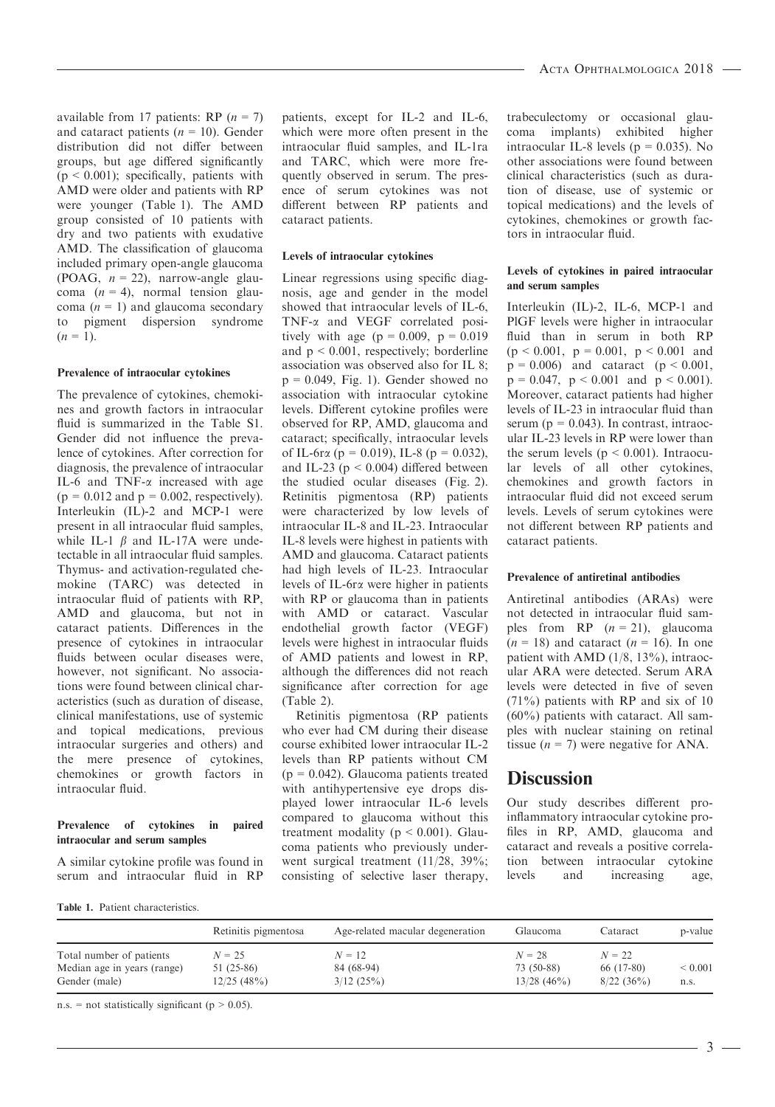available from 17 patients: RP  $(n = 7)$ and cataract patients  $(n = 10)$ . Gender distribution did not differ between groups, but age differed significantly  $(p < 0.001)$ ; specifically, patients with AMD were older and patients with RP were younger (Table 1). The AMD group consisted of 10 patients with dry and two patients with exudative AMD. The classification of glaucoma included primary open-angle glaucoma (POAG,  $n = 22$ ), narrow-angle glaucoma  $(n = 4)$ , normal tension glaucoma  $(n = 1)$  and glaucoma secondary to pigment dispersion syndrome  $(n = 1)$ .

#### Prevalence of intraocular cytokines

The prevalence of cytokines, chemokines and growth factors in intraocular fluid is summarized in the Table S1. Gender did not influence the prevalence of cytokines. After correction for diagnosis, the prevalence of intraocular IL-6 and TNF- $\alpha$  increased with age  $(p = 0.012$  and  $p = 0.002$ , respectively). Interleukin (IL)-2 and MCP-1 were present in all intraocular fluid samples, while IL-1  $\beta$  and IL-17A were undetectable in all intraocular fluid samples. Thymus- and activation-regulated chemokine (TARC) was detected in intraocular fluid of patients with RP, AMD and glaucoma, but not in cataract patients. Differences in the presence of cytokines in intraocular fluids between ocular diseases were, however, not significant. No associations were found between clinical characteristics (such as duration of disease, clinical manifestations, use of systemic and topical medications, previous intraocular surgeries and others) and the mere presence of cytokines, chemokines or growth factors in intraocular fluid.

#### Prevalence of cytokines in paired intraocular and serum samples

A similar cytokine profile was found in serum and intraocular fluid in RP patients, except for IL-2 and IL-6, which were more often present in the intraocular fluid samples, and IL-1ra and TARC, which were more frequently observed in serum. The presence of serum cytokines was not different between RP patients and cataract patients.

#### Levels of intraocular cytokines

Linear regressions using specific diagnosis, age and gender in the model showed that intraocular levels of IL-6, TNF-a and VEGF correlated positively with age ( $p = 0.009$ ,  $p = 0.019$ ) and  $p < 0.001$ , respectively; borderline association was observed also for IL 8;  $p = 0.049$ , Fig. 1). Gender showed no association with intraocular cytokine levels. Different cytokine profiles were observed for RP, AMD, glaucoma and cataract; specifically, intraocular levels of IL-6r $\alpha$  (p = 0.019), IL-8 (p = 0.032), and IL-23 ( $p < 0.004$ ) differed between the studied ocular diseases (Fig. 2). Retinitis pigmentosa (RP) patients were characterized by low levels of intraocular IL-8 and IL-23. Intraocular IL-8 levels were highest in patients with AMD and glaucoma. Cataract patients had high levels of IL-23. Intraocular levels of IL-6ra were higher in patients with RP or glaucoma than in patients with AMD or cataract. Vascular endothelial growth factor (VEGF) levels were highest in intraocular fluids of AMD patients and lowest in RP, although the differences did not reach significance after correction for age (Table 2).

Retinitis pigmentosa (RP patients who ever had CM during their disease course exhibited lower intraocular IL-2 levels than RP patients without CM  $(p = 0.042)$ . Glaucoma patients treated with antihypertensive eye drops displayed lower intraocular IL-6 levels compared to glaucoma without this treatment modality ( $p < 0.001$ ). Glaucoma patients who previously underwent surgical treatment (11/28, 39%; consisting of selective laser therapy, trabeculectomy or occasional glaucoma implants) exhibited higher intraocular IL-8 levels ( $p = 0.035$ ). No other associations were found between clinical characteristics (such as duration of disease, use of systemic or topical medications) and the levels of cytokines, chemokines or growth factors in intraocular fluid.

#### Levels of cytokines in paired intraocular and serum samples

Interleukin (IL)-2, IL-6, MCP-1 and PlGF levels were higher in intraocular fluid than in serum in both RP  $(p < 0.001, p = 0.001, p < 0.001$  and  $p = 0.006$ ) and cataract ( $p < 0.001$ ,  $p = 0.047$ ,  $p < 0.001$  and  $p < 0.001$ ). Moreover, cataract patients had higher levels of IL-23 in intraocular fluid than serum ( $p = 0.043$ ). In contrast, intraocular IL-23 levels in RP were lower than the serum levels ( $p < 0.001$ ). Intraocular levels of all other cytokines, chemokines and growth factors in intraocular fluid did not exceed serum levels. Levels of serum cytokines were not different between RP patients and cataract patients.

#### Prevalence of antiretinal antibodies

Antiretinal antibodies (ARAs) were not detected in intraocular fluid samples from RP  $(n = 21)$ , glaucoma  $(n = 18)$  and cataract  $(n = 16)$ . In one patient with AMD (1/8, 13%), intraocular ARA were detected. Serum ARA levels were detected in five of seven  $(71\%)$  patients with RP and six of 10  $(60\%)$  patients with cataract. All samples with nuclear staining on retinal tissue ( $n = 7$ ) were negative for ANA.

## **Discussion**

Our study describes different proinflammatory intraocular cytokine profiles in RP, AMD, glaucoma and cataract and reveals a positive correlation between intraocular cytokine levels and increasing age,

Table 1. Patient characteristics.

|                                                                          | Retinitis pigmentosa                  | Age-related macular degeneration    | Glaucoma                                | Cataract                             | p-value             |
|--------------------------------------------------------------------------|---------------------------------------|-------------------------------------|-----------------------------------------|--------------------------------------|---------------------|
| Total number of patients<br>Median age in years (range)<br>Gender (male) | $N = 25$<br>$51(25-86)$<br>12/25(48%) | $N = 12$<br>84 (68-94)<br>3/12(25%) | $N = 28$<br>73 (50-88)<br>$13/28$ (46%) | $N = 22$<br>$66(17-80)$<br>8/22(36%) | ${}< 0.001$<br>n.s. |

n.s. = not statistically significant ( $p > 0.05$ ).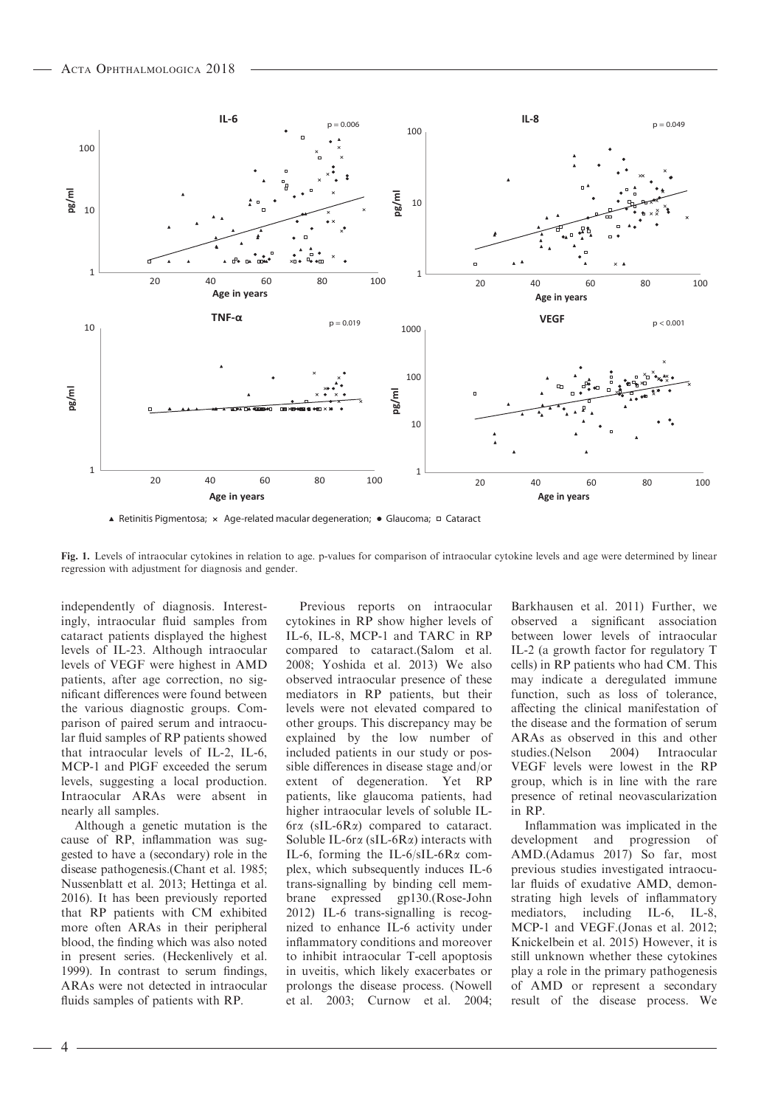

A Retinitis Pigmentosa;  $\times$  Age-related macular degeneration; • Glaucoma; □ Cataract

Fig. 1. Levels of intraocular cytokines in relation to age. p-values for comparison of intraocular cytokine levels and age were determined by linear regression with adjustment for diagnosis and gender.

independently of diagnosis. Interestingly, intraocular fluid samples from cataract patients displayed the highest levels of IL-23. Although intraocular levels of VEGF were highest in AMD patients, after age correction, no significant differences were found between the various diagnostic groups. Comparison of paired serum and intraocular fluid samples of RP patients showed that intraocular levels of IL-2, IL-6, MCP-1 and PlGF exceeded the serum levels, suggesting a local production. Intraocular ARAs were absent in nearly all samples.

Although a genetic mutation is the cause of RP, inflammation was suggested to have a (secondary) role in the disease pathogenesis.(Chant et al. 1985; Nussenblatt et al. 2013; Hettinga et al. 2016). It has been previously reported that RP patients with CM exhibited more often ARAs in their peripheral blood, the finding which was also noted in present series. (Heckenlively et al. 1999). In contrast to serum findings, ARAs were not detected in intraocular fluids samples of patients with RP.

Previous reports on intraocular cytokines in RP show higher levels of IL-6, IL-8, MCP-1 and TARC in RP compared to cataract.(Salom et al. 2008; Yoshida et al. 2013) We also observed intraocular presence of these mediators in RP patients, but their levels were not elevated compared to other groups. This discrepancy may be explained by the low number of included patients in our study or possible differences in disease stage and/or extent of degeneration. Yet RP patients, like glaucoma patients, had higher intraocular levels of soluble IL- $6r\alpha$  (sIL- $6R\alpha$ ) compared to cataract. Soluble IL-6r $\alpha$  (sIL-6R $\alpha$ ) interacts with IL-6, forming the IL-6/sIL-6 $R\alpha$  complex, which subsequently induces IL-6 trans-signalling by binding cell membrane expressed gp130.(Rose-John 2012) IL-6 trans-signalling is recognized to enhance IL-6 activity under inflammatory conditions and moreover to inhibit intraocular T-cell apoptosis in uveitis, which likely exacerbates or prolongs the disease process. (Nowell et al. 2003; Curnow et al. 2004; Barkhausen et al. 2011) Further, we observed a significant association between lower levels of intraocular IL-2 (a growth factor for regulatory T cells) in RP patients who had CM. This may indicate a deregulated immune function, such as loss of tolerance, affecting the clinical manifestation of the disease and the formation of serum ARAs as observed in this and other studies.(Nelson 2004) Intraocular VEGF levels were lowest in the RP group, which is in line with the rare presence of retinal neovascularization in RP.

Inflammation was implicated in the development and progression of AMD.(Adamus 2017) So far, most previous studies investigated intraocular fluids of exudative AMD, demonstrating high levels of inflammatory mediators, including IL-6, IL-8, MCP-1 and VEGF.(Jonas et al. 2012; Knickelbein et al. 2015) However, it is still unknown whether these cytokines play a role in the primary pathogenesis of AMD or represent a secondary result of the disease process. We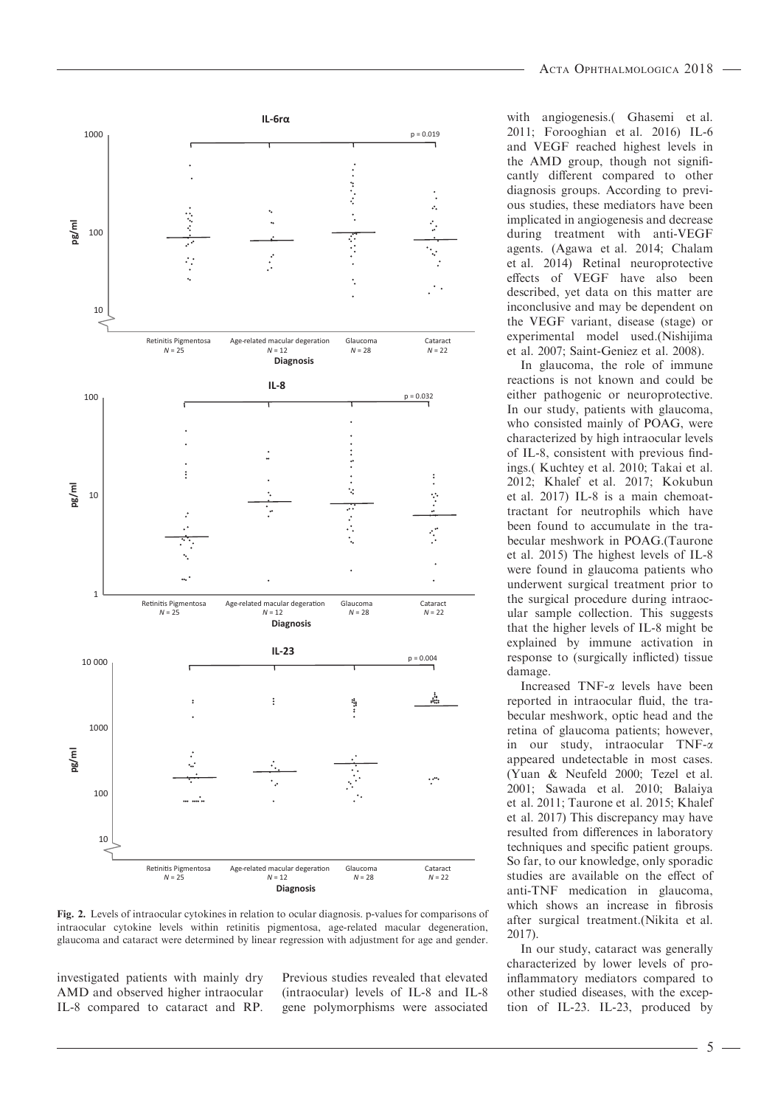

glaucoma and cataract were determined by linear regression with adjustment for age and gender.

ACTA OPHTHALMOLOGICA 2018

with angiogenesis.( Ghasemi et al. 2011; Forooghian et al. 2016) IL-6 and VEGF reached highest levels in the AMD group, though not significantly different compared to other diagnosis groups. According to previous studies, these mediators have been implicated in angiogenesis and decrease during treatment with anti-VEGF agents. (Agawa et al. 2014; Chalam et al. 2014) Retinal neuroprotective effects of VEGF have also been described, yet data on this matter are inconclusive and may be dependent on the VEGF variant, disease (stage) or experimental model used.(Nishijima et al. 2007; Saint-Geniez et al. 2008).

In glaucoma, the role of immune reactions is not known and could be either pathogenic or neuroprotective. In our study, patients with glaucoma, who consisted mainly of POAG, were characterized by high intraocular levels of IL-8, consistent with previous findings.( Kuchtey et al. 2010; Takai et al. 2012; Khalef et al. 2017; Kokubun et al. 2017) IL-8 is a main chemoattractant for neutrophils which have been found to accumulate in the trabecular meshwork in POAG.(Taurone et al. 2015) The highest levels of IL-8 were found in glaucoma patients who underwent surgical treatment prior to the surgical procedure during intraocular sample collection. This suggests that the higher levels of IL-8 might be explained by immune activation in response to (surgically inflicted) tissue damage.

Increased TNF-a levels have been reported in intraocular fluid, the trabecular meshwork, optic head and the retina of glaucoma patients; however, in our study, intraocular TNF-a appeared undetectable in most cases. (Yuan & Neufeld 2000; Tezel et al. 2001; Sawada et al. 2010; Balaiya et al. 2011; Taurone et al. 2015; Khalef et al. 2017) This discrepancy may have resulted from differences in laboratory techniques and specific patient groups. So far, to our knowledge, only sporadic studies are available on the effect of anti-TNF medication in glaucoma, which shows an increase in fibrosis after surgical treatment.(Nikita et al. 2017).

In our study, cataract was generally characterized by lower levels of proinflammatory mediators compared to other studied diseases, with the exception of IL-23. IL-23, produced by

investigated patients with mainly dry AMD and observed higher intraocular IL-8 compared to cataract and RP.

Previous studies revealed that elevated (intraocular) levels of IL-8 and IL-8 gene polymorphisms were associated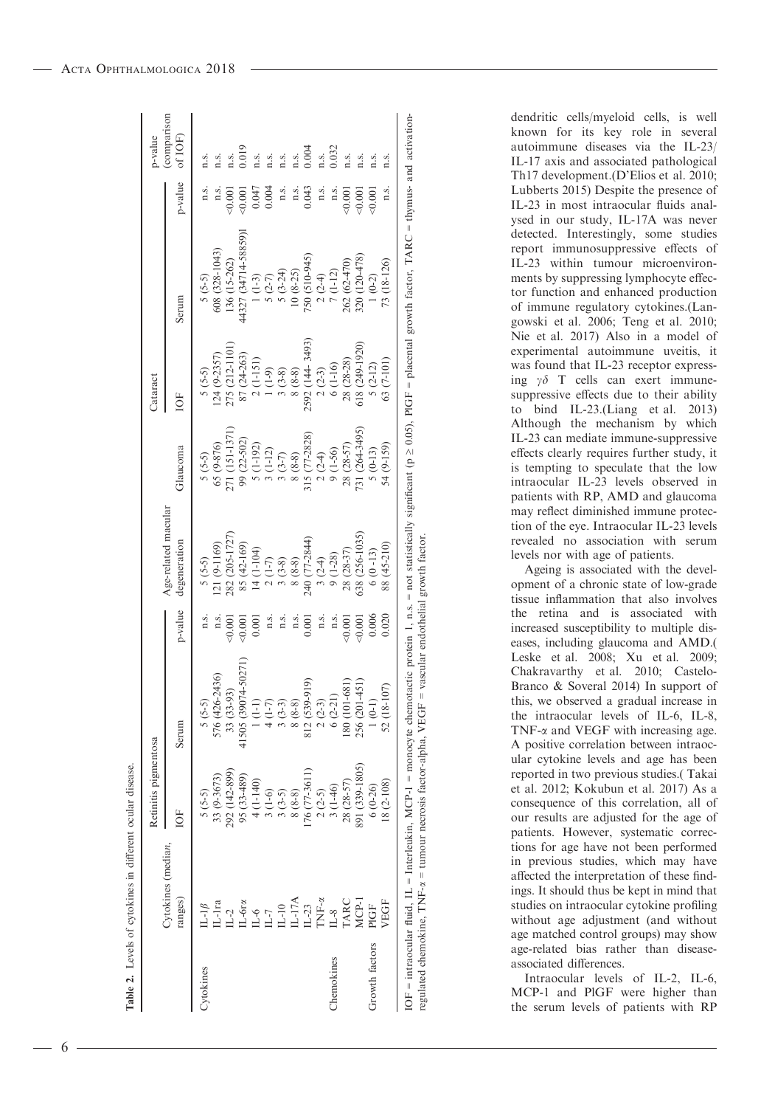|                   |                               | Retinitis pigmentosa |                              |         |                                     |               | Cataract        |                    |         | p-value                |
|-------------------|-------------------------------|----------------------|------------------------------|---------|-------------------------------------|---------------|-----------------|--------------------|---------|------------------------|
|                   | Cytokines (median,<br>ranges) |                      | Serum                        | p-value | Age-related macular<br>degeneration | Glaucoma      | IOF             | Serum              | p-value | comparison)<br>of IOF) |
| <b>Sytokines</b>  | $IL-I\beta$                   | $5(5-5)$             | $5(5-5)$                     | 1.5.    | $5(5-5)$                            | $5(5-5)$      | $5(5-5)$        | $5(5-5)$           | n.s.    | n.s.                   |
|                   | $L-1ra$                       | 33 (9-3673)          | 36)<br>576 (426-24           | 1.5.    | $(21 (9-1169))$                     | 65 (9-876)    | $124(9-2357)$   | 608 (328-1043)     | n.s.    | n.s.                   |
|                   | $L-2$                         | 292 (142-899)        | 33 (33-93)                   | 100.0   | 282 (205-1727                       | 271 (151-1371 | 275 (212-1101   | 136 (15-262)       | 0.001   | 1.8.                   |
|                   | $IL-6r\alpha$                 | 95 (33-489)          | 50271)<br>41505 (39074       | 500.001 | 85 (42-169)                         | 99 (22-502)   | 87 (24-263)     | 4327 (34714-58859) | 500.001 | 0.019                  |
|                   |                               | 4 (1-140)            | $(1-1)$                      | 0.001   | $14(1-104)$                         | 5 (1-192)     | $2(1-151)$      | $(1-3)$            | 0.047   | 1.5.                   |
|                   | $\frac{1}{1}$                 | $3(1-6)$             | $4(1-7)$                     | 1.5.    | $2(1-7)$                            | $3(1-12)$     | $(1-9)$         | $5(2-7)$           | 0.004   | 1.5.                   |
|                   | L10                           | $3(3-5)$             | $3(3-3)$                     | n.s.    | $3(3-8)$                            | $3(3-7)$      | $3(3-8)$        | $5(3-24)$          | n.s.    | n.s.                   |
|                   | IL-17 $A$                     | $8(8-8)$             | $8 (8-8)$                    | n.s.    | $8 (8-8)$                           | $8(8-8)$      | $8 (8-8)$       | $10(8-25)$         | 1.5     | 1.S.                   |
|                   | $IL-23$                       | $[76 (77-361]$       | $\widehat{[}$<br>812 (539-91 | 0.001   | 240 (77-2844                        | 315 (77-2828) | 2592 (144-3493) | 750 (510-945)      | 0.043   | 0.004                  |
|                   | $\text{INF-}\alpha$           | $2(2-5)$             | $2(2-3)$                     | 1.5.    | $3(2-4)$                            | $2(2-4)$      | $2(2-3)$        | $2(2-4)$           | n.s.    | 1.S.                   |
| <b>Themokines</b> | $-8$                          | $3(1-46)$            | $6(2-21)$                    | n.s.    | $9(1-28)$                           | $9(1-56)$     | $6(1-16)$       | $7(1-12)$          | n.s.    | 0.032                  |
|                   | TARC                          | 28 (28-57)           | 180 (101-681)                | 0.001   | $28(28-37)$                         | 28 (28-57)    | 28 (28-28)      | 262 (62-470)       | < 0.001 | 1.5.                   |
|                   | $MCP-1$                       | 891 (339-1805)       | 256 (201-451)                | 0.001   | 638 (256-1035)                      | 31 (264-3495) | 618 (249-1920)  | 320 (120-478)      | 0.001   | n.s.                   |
| Growth factors    | PIGF                          | $6(0-26)$            | $1(0-1)$                     | 0.006   | $6(0-13)$                           | $5(0-13)$     | $5(2-12)$       | $1(0-2)$           | 0.001   |                        |
|                   | VEGF                          | $(2-108)$            | 52 (18-107                   | 0.020   | 88 (45-210)                         | 54 (9-159)    | $63(7-101)$     | 73 (18-126)        | n.s.    | n.s.                   |

regulated chemokine, TNF-a = tumour necrosis factor-alpha, VEGF = vascular endothelial growth factor.

regulated chemokine, TNF-z = tumour necrosis factor-alpha, VEGF = vascular endothelial growth factor.

dendritic cells/myeloid cells, is well known for its key role in several autoimmune diseases via the IL-23/ IL-17 axis and associated pathological Th17 development.(D'Elios et al. 2010; Lubberts 2015) Despite the presence of IL-23 in most intraocular fluids analysed in our study, IL-17A was never detected. Interestingly, some studies report immunosuppressive effects of IL-23 within tumour microenvironments by suppressing lymphocyte effector function and enhanced production of immune regulatory cytokines.(Langowski et al. 2006; Teng et al. 2010; Nie et al. 2017) Also in a model of experimental autoimmune uveitis, it was found that IL-23 receptor expressing  $\gamma\delta$  T cells can exert immunesuppressive effects due to their ability to bind IL-23.(Liang et al. 2013) Although the mechanism by which IL-23 can mediate immune-suppressive effects clearly requires further study, it is tempting to speculate that the low intraocular IL-23 levels observed in patients with RP, AMD and glaucoma may reflect diminished immune protection of the eye. Intraocular IL-23 levels revealed no association with serum levels nor with age of patients.

Ageing is associated with the development of a chronic state of low-grade tissue inflammation that also involves the retina and is associated with increased susceptibility to multiple diseases, including glaucoma and AMD.( Leske et al. 2008; Xu et al. 2009; Chakravarthy et al. 2010; Castelo-Branco & Soveral 2014) In support of this, we observed a gradual increase in the intraocular levels of IL-6, IL-8, TNF- $\alpha$  and VEGF with increasing age. A positive correlation between intraocular cytokine levels and age has been reported in two previous studies.( Takai et al. 2012; Kokubun et al. 2017) As a consequence of this correlation, all of our results are adjusted for the age of patients. However, systematic corrections for age have not been performed in previous studies, which may have affected the interpretation of these findings. It should thus be kept in mind that studies on intraocular cytokine profiling without age adjustment (and without age matched control groups) may show age-related bias rather than diseaseassociated differences.

Intraocular levels of IL-2, IL-6, MCP-1 and PlGF were higher than the serum levels of patients with RP

Table 2. Levels of cytokines in different ocular disease

Levels of cytokines in different ocular disease.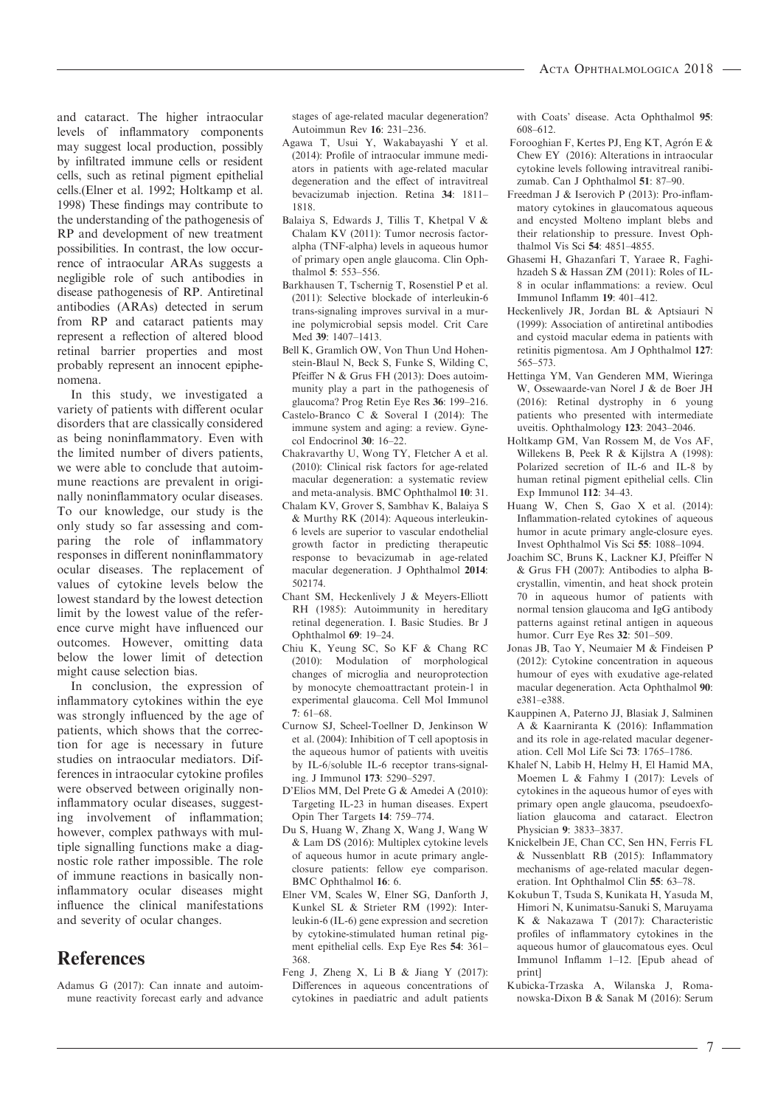and cataract. The higher intraocular levels of inflammatory components may suggest local production, possibly by infiltrated immune cells or resident cells, such as retinal pigment epithelial cells.(Elner et al. 1992; Holtkamp et al. 1998) These findings may contribute to the understanding of the pathogenesis of RP and development of new treatment possibilities. In contrast, the low occurrence of intraocular ARAs suggests a negligible role of such antibodies in disease pathogenesis of RP. Antiretinal antibodies (ARAs) detected in serum from RP and cataract patients may represent a reflection of altered blood retinal barrier properties and most probably represent an innocent epiphenomena.

In this study, we investigated a variety of patients with different ocular disorders that are classically considered as being noninflammatory. Even with the limited number of divers patients, we were able to conclude that autoimmune reactions are prevalent in originally noninflammatory ocular diseases. To our knowledge, our study is the only study so far assessing and comparing the role of inflammatory responses in different noninflammatory ocular diseases. The replacement of values of cytokine levels below the lowest standard by the lowest detection limit by the lowest value of the reference curve might have influenced our outcomes. However, omitting data below the lower limit of detection might cause selection bias.

In conclusion, the expression of inflammatory cytokines within the eye was strongly influenced by the age of patients, which shows that the correction for age is necessary in future studies on intraocular mediators. Differences in intraocular cytokine profiles were observed between originally noninflammatory ocular diseases, suggesting involvement of inflammation; however, complex pathways with multiple signalling functions make a diagnostic role rather impossible. The role of immune reactions in basically noninflammatory ocular diseases might influence the clinical manifestations and severity of ocular changes.

# References

Adamus G (2017): Can innate and autoimmune reactivity forecast early and advance stages of age-related macular degeneration? Autoimmun Rev 16: 231–236.

- Agawa T, Usui Y, Wakabayashi Y et al. (2014): Profile of intraocular immune mediators in patients with age-related macular degeneration and the effect of intravitreal bevacizumab injection. Retina 34: 1811– 1818.
- Balaiya S, Edwards J, Tillis T, Khetpal V & Chalam KV (2011): Tumor necrosis factoralpha (TNF-alpha) levels in aqueous humor of primary open angle glaucoma. Clin Ophthalmol 5: 553–556.
- Barkhausen T, Tschernig T, Rosenstiel P et al. (2011): Selective blockade of interleukin-6 trans-signaling improves survival in a murine polymicrobial sepsis model. Crit Care Med 39: 1407–1413.
- Bell K, Gramlich OW, Von Thun Und Hohenstein-Blaul N, Beck S, Funke S, Wilding C, Pfeiffer N & Grus FH (2013): Does autoimmunity play a part in the pathogenesis of glaucoma? Prog Retin Eye Res 36: 199–216.
- Castelo-Branco C & Soveral I (2014): The immune system and aging: a review. Gynecol Endocrinol 30: 16–22.
- Chakravarthy U, Wong TY, Fletcher A et al. (2010): Clinical risk factors for age-related macular degeneration: a systematic review and meta-analysis. BMC Ophthalmol 10: 31.
- Chalam KV, Grover S, Sambhav K, Balaiya S & Murthy RK (2014): Aqueous interleukin-6 levels are superior to vascular endothelial growth factor in predicting therapeutic response to bevacizumab in age-related macular degeneration. J Ophthalmol 2014: 502174.
- Chant SM, Heckenlively J & Meyers-Elliott RH (1985): Autoimmunity in hereditary retinal degeneration. I. Basic Studies. Br J Ophthalmol 69: 19–24.
- Chiu K, Yeung SC, So KF & Chang RC (2010): Modulation of morphological changes of microglia and neuroprotection by monocyte chemoattractant protein-1 in experimental glaucoma. Cell Mol Immunol 7: 61–68.
- Curnow SJ, Scheel-Toellner D, Jenkinson W et al. (2004): Inhibition of T cell apoptosis in the aqueous humor of patients with uveitis by IL-6/soluble IL-6 receptor trans-signaling. J Immunol 173: 5290–5297.
- D'Elios MM, Del Prete G & Amedei A (2010): Targeting IL-23 in human diseases. Expert Opin Ther Targets 14: 759–774.
- Du S, Huang W, Zhang X, Wang J, Wang W & Lam DS (2016): Multiplex cytokine levels of aqueous humor in acute primary angleclosure patients: fellow eye comparison. BMC Ophthalmol 16: 6.
- Elner VM, Scales W, Elner SG, Danforth J, Kunkel SL & Strieter RM (1992): Interleukin-6 (IL-6) gene expression and secretion by cytokine-stimulated human retinal pigment epithelial cells. Exp Eye Res 54: 361– 368.
- Feng J, Zheng X, Li B  $&$  Jiang Y (2017): Differences in aqueous concentrations of cytokines in paediatric and adult patients

with Coats' disease. Acta Ophthalmol 95: 608–612.

- Forooghian F, Kertes PJ, Eng KT, Agrón E & Chew EY (2016): Alterations in intraocular cytokine levels following intravitreal ranibizumab. Can J Ophthalmol 51: 87–90.
- Freedman J & Iserovich P (2013): Pro-inflammatory cytokines in glaucomatous aqueous and encysted Molteno implant blebs and their relationship to pressure. Invest Ophthalmol Vis Sci 54: 4851–4855.
- Ghasemi H, Ghazanfari T, Yaraee R, Faghihzadeh S & Hassan ZM (2011): Roles of IL-8 in ocular inflammations: a review. Ocul Immunol Inflamm 19: 401–412.
- Heckenlively JR, Jordan BL & Aptsiauri N (1999): Association of antiretinal antibodies and cystoid macular edema in patients with retinitis pigmentosa. Am J Ophthalmol 127: 565–573.
- Hettinga YM, Van Genderen MM, Wieringa W, Ossewaarde-van Norel J & de Boer JH (2016): Retinal dystrophy in 6 young patients who presented with intermediate uveitis. Ophthalmology 123: 2043–2046.
- Holtkamp GM, Van Rossem M, de Vos AF, Willekens B, Peek R & Kijlstra A (1998): Polarized secretion of IL-6 and IL-8 by human retinal pigment epithelial cells. Clin Exp Immunol 112: 34–43.
- Huang W, Chen S, Gao X et al. (2014): Inflammation-related cytokines of aqueous humor in acute primary angle-closure eyes. Invest Ophthalmol Vis Sci 55: 1088–1094.
- Joachim SC, Bruns K, Lackner KJ, Pfeiffer N & Grus FH (2007): Antibodies to alpha Bcrystallin, vimentin, and heat shock protein 70 in aqueous humor of patients with normal tension glaucoma and IgG antibody patterns against retinal antigen in aqueous humor. Curr Eye Res 32: 501–509.
- Jonas JB, Tao Y, Neumaier M & Findeisen P (2012): Cytokine concentration in aqueous humour of eyes with exudative age-related macular degeneration. Acta Ophthalmol 90: e381–e388.
- Kauppinen A, Paterno JJ, Blasiak J, Salminen A & Kaarniranta K (2016): Inflammation and its role in age-related macular degeneration. Cell Mol Life Sci 73: 1765–1786.
- Khalef N, Labib H, Helmy H, El Hamid MA, Moemen L & Fahmy I (2017): Levels of cytokines in the aqueous humor of eyes with primary open angle glaucoma, pseudoexfoliation glaucoma and cataract. Electron Physician 9: 3833–3837.
- Knickelbein JE, Chan CC, Sen HN, Ferris FL & Nussenblatt RB (2015): Inflammatory mechanisms of age-related macular degeneration. Int Ophthalmol Clin 55: 63–78.
- Kokubun T, Tsuda S, Kunikata H, Yasuda M, Himori N, Kunimatsu-Sanuki S, Maruyama K & Nakazawa T (2017): Characteristic profiles of inflammatory cytokines in the aqueous humor of glaucomatous eyes. Ocul Immunol Inflamm 1–12. [Epub ahead of print]
- Kubicka-Trzaska A, Wilanska J, Romanowska-Dixon B & Sanak M (2016): Serum

7